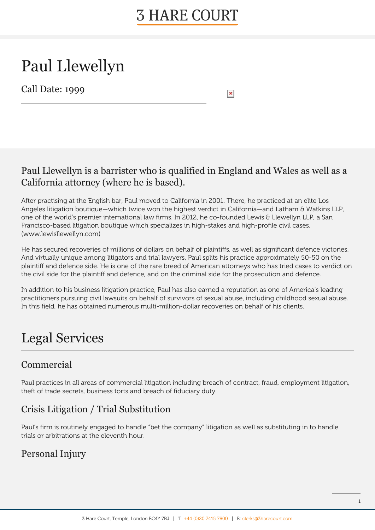# **3 HARE COURT**

# Paul Llewellyn

Call Date: 1999

 $\pmb{\times}$ 

#### Paul Llewellyn is a barrister who is qualified in England and Wales as well as a California attorney (where he is based).

After practising at the English bar, Paul moved to California in 2001. There, he practiced at an elite Los Angeles litigation boutique—which twice won the highest verdict in California—and Latham & Watkins LLP, one of the world's premier international law firms. In 2012, he co-founded Lewis & Llewellyn LLP, a San Francisco-based litigation boutique which specializes in high-stakes and high-profile civil cases. (www.lewisllewellyn.com)

He has secured recoveries of millions of dollars on behalf of plaintiffs, as well as significant defence victories. And virtually unique among litigators and trial lawyers, Paul splits his practice approximately 50-50 on the plaintiff and defence side. He is one of the rare breed of American attorneys who has tried cases to verdict on the civil side for the plaintiff and defence, and on the criminal side for the prosecution and defence.

In addition to his business litigation practice, Paul has also earned a reputation as one of America's leading practitioners pursuing civil lawsuits on behalf of survivors of sexual abuse, including childhood sexual abuse. In this field, he has obtained numerous multi-million-dollar recoveries on behalf of his clients.

## Legal Services

#### **Commercial**

Paul practices in all areas of commercial litigation including breach of contract, fraud, employment litigation, theft of trade secrets, business torts and breach of fiduciary duty.

#### Crisis Litigation / Trial Substitution

Paul's firm is routinely engaged to handle "bet the company" litigation as well as substituting in to handle trials or arbitrations at the eleventh hour.

#### Personal Injury